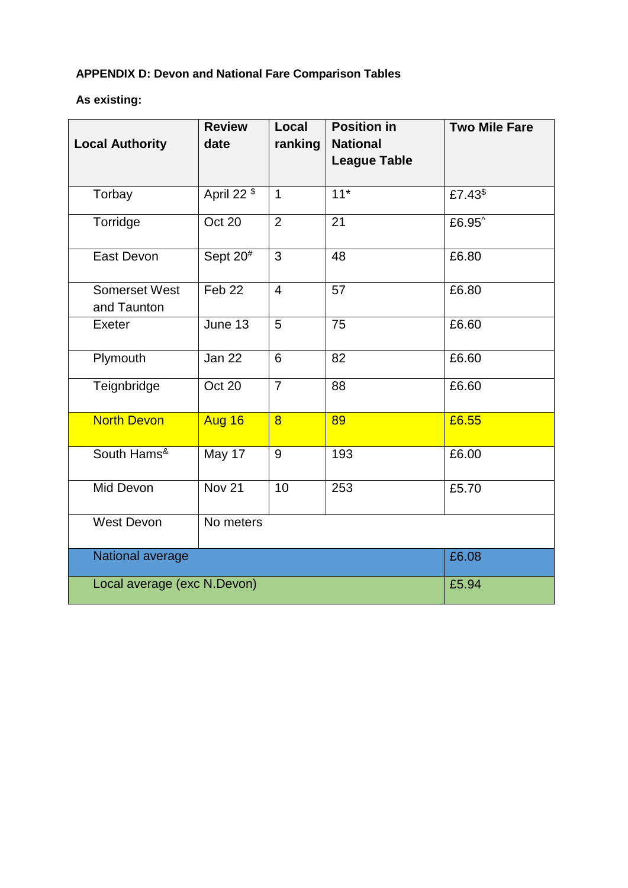# **APPENDIX D: Devon and National Fare Comparison Tables**

### **As existing:**

| <b>Local Authority</b>              | <b>Review</b><br>date  | Local<br>ranking | <b>Position in</b><br><b>National</b><br><b>League Table</b> | <b>Two Mile Fare</b> |
|-------------------------------------|------------------------|------------------|--------------------------------------------------------------|----------------------|
| Torbay                              | April 22 <sup>\$</sup> | $\mathbf 1$      | $11*$                                                        | £7.43 $$$            |
| Torridge                            | Oct 20                 | $\overline{2}$   | 21                                                           | £6.95 <sup>^</sup>   |
| East Devon                          | Sept 20 <sup>#</sup>   | 3                | 48                                                           | £6.80                |
| <b>Somerset West</b><br>and Taunton | Feb 22                 | $\overline{4}$   | 57                                                           | £6.80                |
| Exeter                              | June 13                | 5                | 75                                                           | £6.60                |
| Plymouth                            | <b>Jan 22</b>          | 6                | 82                                                           | £6.60                |
| Teignbridge                         | Oct 20                 | $\overline{7}$   | 88                                                           | £6.60                |
| <b>North Devon</b>                  | Aug 16                 | $\overline{8}$   | 89                                                           | £6.55                |
| South Hams <sup>&amp;</sup>         | May 17                 | 9                | 193                                                          | £6.00                |
| Mid Devon                           | <b>Nov 21</b>          | 10               | 253                                                          | £5.70                |
| <b>West Devon</b>                   | No meters              |                  |                                                              |                      |
| National average                    |                        |                  |                                                              | £6.08                |
| Local average (exc N.Devon)         |                        |                  |                                                              | £5.94                |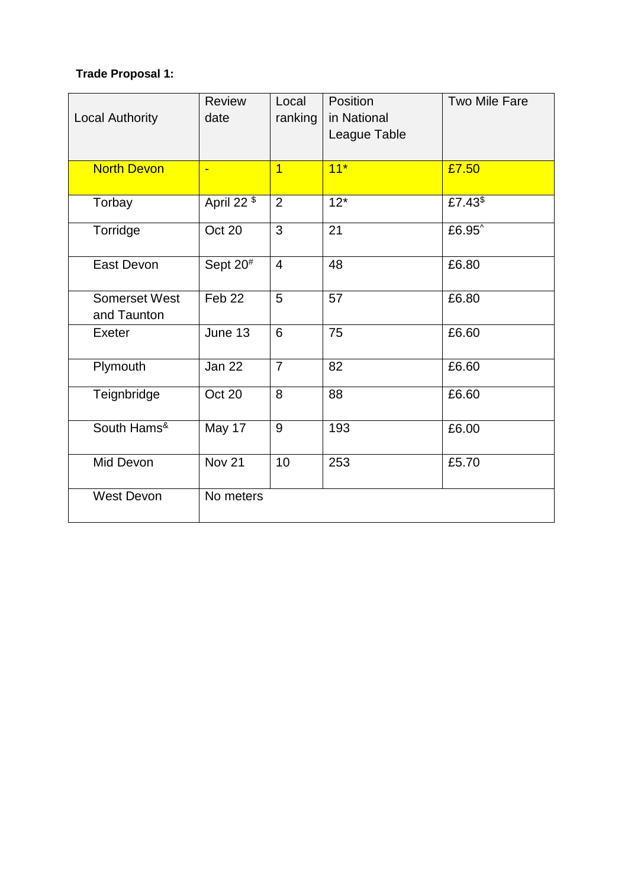#### **Trade Proposal 1:**

| <b>Local Authority</b>              | <b>Review</b><br>date  | Local<br>ranking | Position<br>in National<br>League Table | <b>Two Mile Fare</b> |
|-------------------------------------|------------------------|------------------|-----------------------------------------|----------------------|
| <b>North Devon</b>                  | Ξ                      | $\overline{1}$   | $11*$                                   | £7.50                |
| Torbay                              | April 22 <sup>\$</sup> | $\overline{2}$   | $12*$                                   | £7.43 $$$            |
| Torridge                            | Oct 20                 | 3                | 21                                      | £6.95 <sup>^</sup>   |
| East Devon                          | Sept $20#$             | $\overline{4}$   | 48                                      | £6.80                |
| <b>Somerset West</b><br>and Taunton | Feb 22                 | 5                | 57                                      | £6.80                |
| Exeter                              | June 13                | 6                | 75                                      | £6.60                |
| Plymouth                            | <b>Jan 22</b>          | $\overline{7}$   | 82                                      | £6.60                |
| Teignbridge                         | Oct 20                 | 8                | 88                                      | £6.60                |
| South Hams <sup>&amp;</sup>         | May 17                 | 9                | 193                                     | £6.00                |
| Mid Devon                           | <b>Nov 21</b>          | 10               | 253                                     | £5.70                |
| <b>West Devon</b>                   | No meters              |                  |                                         |                      |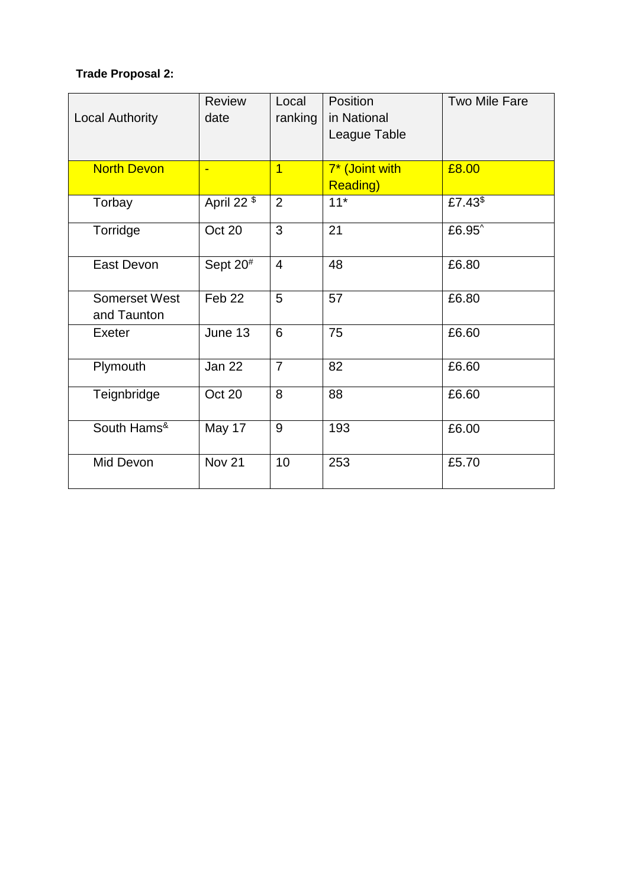#### **Trade Proposal 2:**

| <b>Local Authority</b>              | <b>Review</b><br>date  | Local<br>ranking | Position<br>in National<br>League Table | <b>Two Mile Fare</b> |
|-------------------------------------|------------------------|------------------|-----------------------------------------|----------------------|
| <b>North Devon</b>                  | ц                      | $\overline{1}$   | 7* (Joint with<br><b>Reading</b> )      | £8.00                |
| Torbay                              | April 22 <sup>\$</sup> | $\overline{2}$   | $11*$                                   | £7.43 $$$            |
| Torridge                            | Oct 20                 | 3                | 21                                      | £6.95 <sup>^</sup>   |
| East Devon                          | Sept $20*$             | $\overline{4}$   | 48                                      | £6.80                |
| <b>Somerset West</b><br>and Taunton | Feb 22                 | 5                | 57                                      | £6.80                |
| Exeter                              | June 13                | 6                | 75                                      | £6.60                |
| Plymouth                            | Jan 22                 | $\overline{7}$   | 82                                      | £6.60                |
| Teignbridge                         | Oct 20                 | 8                | 88                                      | £6.60                |
| South Hams <sup>&amp;</sup>         | May 17                 | 9                | 193                                     | £6.00                |
| Mid Devon                           | <b>Nov 21</b>          | 10               | 253                                     | £5.70                |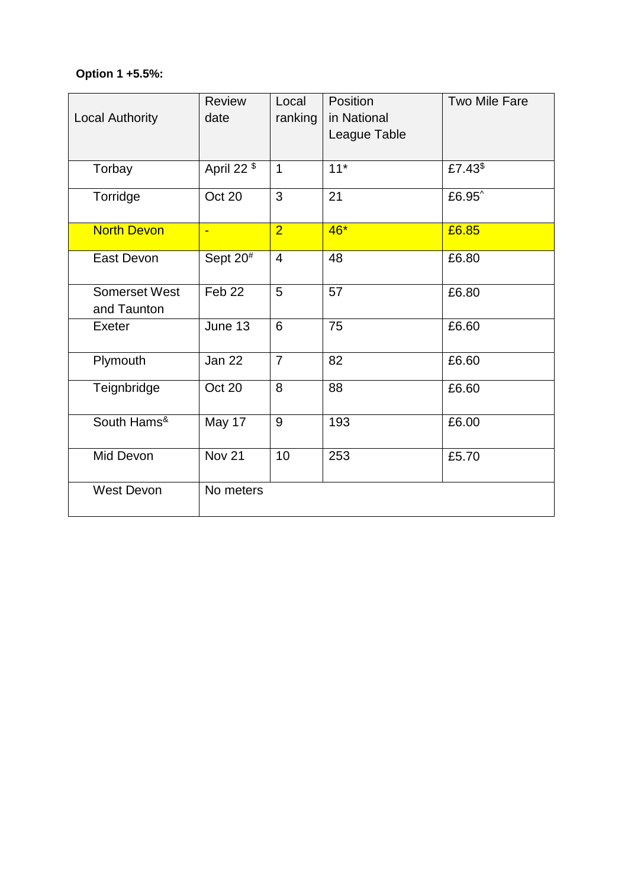## **Option 1 +5.5%:**

| <b>Local Authority</b>              | <b>Review</b><br>date  | Local<br>ranking | Position<br>in National<br>League Table | <b>Two Mile Fare</b> |
|-------------------------------------|------------------------|------------------|-----------------------------------------|----------------------|
| Torbay                              | April 22 <sup>\$</sup> | 1                | $11*$                                   | £7.43 <sup>\$</sup>  |
| Torridge                            | Oct 20                 | 3                | 21                                      | £6.95^               |
| <b>North Devon</b>                  | Ξ                      | $\overline{2}$   | $46*$                                   | £6.85                |
| <b>East Devon</b>                   | Sept $20*$             | $\overline{4}$   | 48                                      | £6.80                |
| <b>Somerset West</b><br>and Taunton | Feb <sub>22</sub>      | 5                | 57                                      | £6.80                |
| Exeter                              | June 13                | 6                | 75                                      | £6.60                |
| Plymouth                            | Jan 22                 | $\overline{7}$   | 82                                      | £6.60                |
| Teignbridge                         | Oct 20                 | 8                | 88                                      | £6.60                |
| South Hams <sup>&amp;</sup>         | May 17                 | 9                | 193                                     | £6.00                |
| Mid Devon                           | <b>Nov 21</b>          | 10               | 253                                     | £5.70                |
| <b>West Devon</b>                   | No meters              |                  |                                         |                      |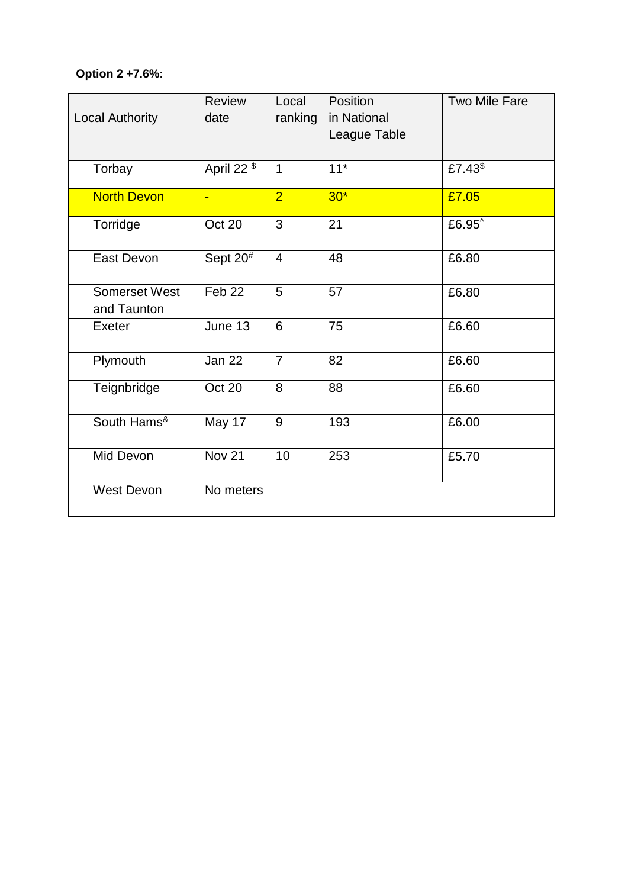#### **Option 2 +7.6%:**

| <b>Local Authority</b>              | <b>Review</b><br>date  | Local<br>ranking | Position<br>in National<br>League Table | <b>Two Mile Fare</b> |
|-------------------------------------|------------------------|------------------|-----------------------------------------|----------------------|
| Torbay                              | April 22 <sup>\$</sup> | $\overline{1}$   | $11*$                                   | £7.43 $$$            |
| <b>North Devon</b>                  | Ξ                      | $\overline{2}$   | $30*$                                   | £7.05                |
| Torridge                            | Oct 20                 | 3                | 21                                      | £6.95 <sup>^</sup>   |
| East Devon                          | Sept $20*$             | $\overline{4}$   | 48                                      | £6.80                |
| <b>Somerset West</b><br>and Taunton | Feb <sub>22</sub>      | 5                | 57                                      | £6.80                |
| Exeter                              | June $13$              | 6                | 75                                      | £6.60                |
| Plymouth                            | Jan 22                 | $\overline{7}$   | 82                                      | £6.60                |
| Teignbridge                         | Oct 20                 | 8                | 88                                      | £6.60                |
| South Hams <sup>&amp;</sup>         | May 17                 | 9                | 193                                     | £6.00                |
| Mid Devon                           | <b>Nov 21</b>          | 10               | 253                                     | £5.70                |
| <b>West Devon</b>                   | No meters              |                  |                                         |                      |